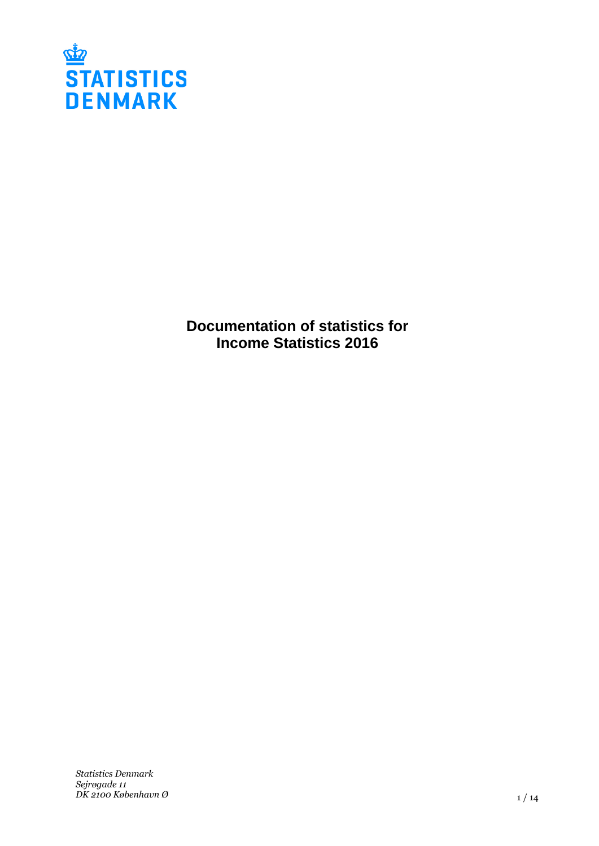

**Documentation of statistics for Income Statistics 2016**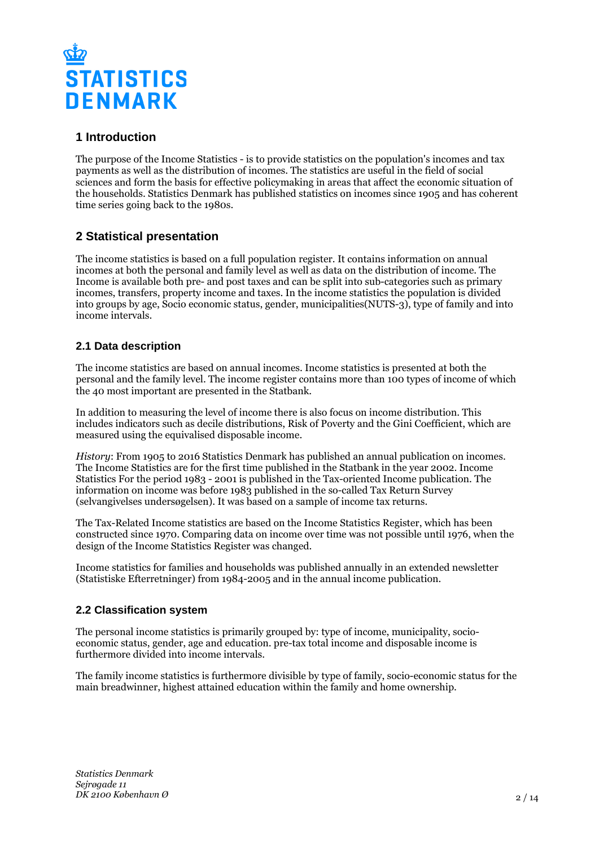

# **1 Introduction**

The purpose of the Income Statistics - is to provide statistics on the population's incomes and tax payments as well as the distribution of incomes. The statistics are useful in the field of social sciences and form the basis for effective policymaking in areas that affect the economic situation of the households. Statistics Denmark has published statistics on incomes since 1905 and has coherent time series going back to the 1980s.

# **2 Statistical presentation**

The income statistics is based on a full population register. It contains information on annual incomes at both the personal and family level as well as data on the distribution of income. The Income is available both pre- and post taxes and can be split into sub-categories such as primary incomes, transfers, property income and taxes. In the income statistics the population is divided into groups by age, Socio economic status, gender, municipalities(NUTS-3), type of family and into income intervals.

## **2.1 Data description**

The income statistics are based on annual incomes. Income statistics is presented at both the personal and the family level. The income register contains more than 100 types of income of which the 40 most important are presented in the Statbank.

In addition to measuring the level of income there is also focus on income distribution. This includes indicators such as decile distributions, Risk of Poverty and the Gini Coefficient, which are measured using the equivalised disposable income.

*History*: From 1905 to 2016 Statistics Denmark has published an annual publication on incomes. The Income Statistics are for the first time published in the Statbank in the year 2002. Income Statistics For the period 1983 - 2001 is published in the Tax-oriented Income publication. The information on income was before 1983 published in the so-called Tax Return Survey (selvangivelses undersøgelsen). It was based on a sample of income tax returns.

The Tax-Related Income statistics are based on the Income Statistics Register, which has been constructed since 1970. Comparing data on income over time was not possible until 1976, when the design of the Income Statistics Register was changed.

Income statistics for families and households was published annually in an extended newsletter (Statistiske Efterretninger) from 1984-2005 and in the annual income publication.

## **2.2 Classification system**

The personal income statistics is primarily grouped by: type of income, municipality, socioeconomic status, gender, age and education. pre-tax total income and disposable income is furthermore divided into income intervals.

The family income statistics is furthermore divisible by type of family, socio-economic status for the main breadwinner, highest attained education within the family and home ownership.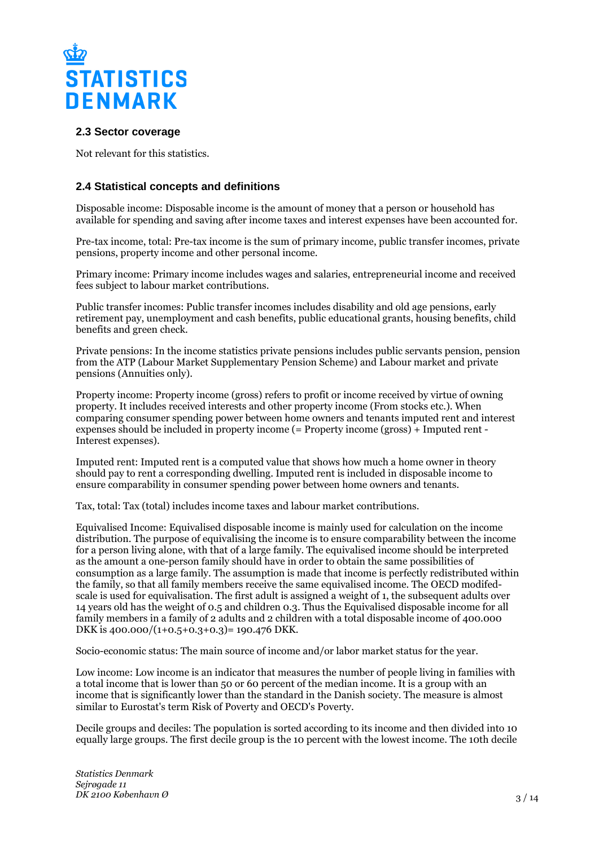

#### **2.3 Sector coverage**

Not relevant for this statistics.

## **2.4 Statistical concepts and definitions**

Disposable income: Disposable income is the amount of money that a person or household has available for spending and saving after income taxes and interest expenses have been accounted for.

Pre-tax income, total: Pre-tax income is the sum of primary income, public transfer incomes, private pensions, property income and other personal income.

Primary income: Primary income includes wages and salaries, entrepreneurial income and received fees subject to labour market contributions.

Public transfer incomes: Public transfer incomes includes disability and old age pensions, early retirement pay, unemployment and cash benefits, public educational grants, housing benefits, child benefits and green check.

Private pensions: In the income statistics private pensions includes public servants pension, pension from the ATP (Labour Market Supplementary Pension Scheme) and Labour market and private pensions (Annuities only).

Property income: Property income (gross) refers to profit or income received by virtue of owning property. It includes received interests and other property income (From stocks etc.). When comparing consumer spending power between home owners and tenants imputed rent and interest expenses should be included in property income (= Property income (gross) + Imputed rent - Interest expenses).

Imputed rent: Imputed rent is a computed value that shows how much a home owner in theory should pay to rent a corresponding dwelling. Imputed rent is included in disposable income to ensure comparability in consumer spending power between home owners and tenants.

Tax, total: Tax (total) includes income taxes and labour market contributions.

Equivalised Income: Equivalised disposable income is mainly used for calculation on the income distribution. The purpose of equivalising the income is to ensure comparability between the income for a person living alone, with that of a large family. The equivalised income should be interpreted as the amount a one-person family should have in order to obtain the same possibilities of consumption as a large family. The assumption is made that income is perfectly redistributed within the family, so that all family members receive the same equivalised income. The OECD modifedscale is used for equivalisation. The first adult is assigned a weight of 1, the subsequent adults over 14 years old has the weight of 0.5 and children 0.3. Thus the Equivalised disposable income for all family members in a family of 2 adults and 2 children with a total disposable income of 400.000 DKK is 400.000/(1+0.5+0.3+0.3)= 190.476 DKK.

Socio-economic status: The main source of income and/or labor market status for the year.

Low income: Low income is an indicator that measures the number of people living in families with a total income that is lower than 50 or 60 percent of the median income. It is a group with an income that is significantly lower than the standard in the Danish society. The measure is almost similar to Eurostat's term Risk of Poverty and OECD's Poverty.

Decile groups and deciles: The population is sorted according to its income and then divided into 10 equally large groups. The first decile group is the 10 percent with the lowest income. The 10th decile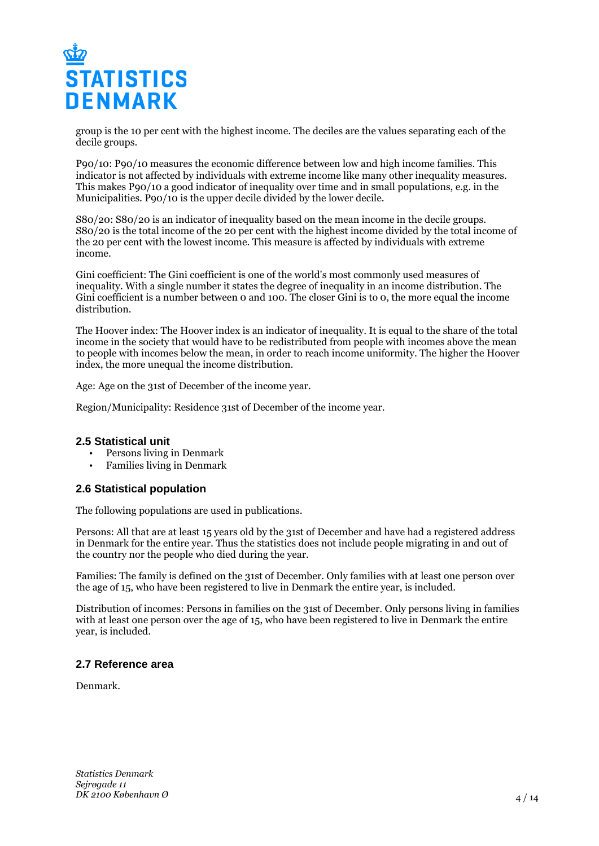

group is the 10 per cent with the highest income. The deciles are the values separating each of the decile groups.

P90/10: P90/10 measures the economic difference between low and high income families. This indicator is not affected by individuals with extreme income like many other inequality measures. This makes P90/10 a good indicator of inequality over time and in small populations, e.g. in the Municipalities. P90/10 is the upper decile divided by the lower decile.

S80/20: S80/20 is an indicator of inequality based on the mean income in the decile groups. S80/20 is the total income of the 20 per cent with the highest income divided by the total income of the 20 per cent with the lowest income. This measure is affected by individuals with extreme income.

Gini coefficient: The Gini coefficient is one of the world's most commonly used measures of inequality. With a single number it states the degree of inequality in an income distribution. The Gini coefficient is a number between 0 and 100. The closer Gini is to 0, the more equal the income distribution.

The Hoover index: The Hoover index is an indicator of inequality. It is equal to the share of the total income in the society that would have to be redistributed from people with incomes above the mean to people with incomes below the mean, in order to reach income uniformity. The higher the Hoover index, the more unequal the income distribution.

Age: Age on the 31st of December of the income year.

Region/Municipality: Residence 31st of December of the income year.

#### **2.5 Statistical unit**

- Persons living in Denmark
- Families living in Denmark

#### **2.6 Statistical population**

The following populations are used in publications.

Persons: All that are at least 15 years old by the 31st of December and have had a registered address in Denmark for the entire year. Thus the statistics does not include people migrating in and out of the country nor the people who died during the year.

Families: The family is defined on the 31st of December. Only families with at least one person over the age of 15, who have been registered to live in Denmark the entire year, is included.

Distribution of incomes: Persons in families on the 31st of December. Only persons living in families with at least one person over the age of 15, who have been registered to live in Denmark the entire year, is included.

#### **2.7 Reference area**

Denmark.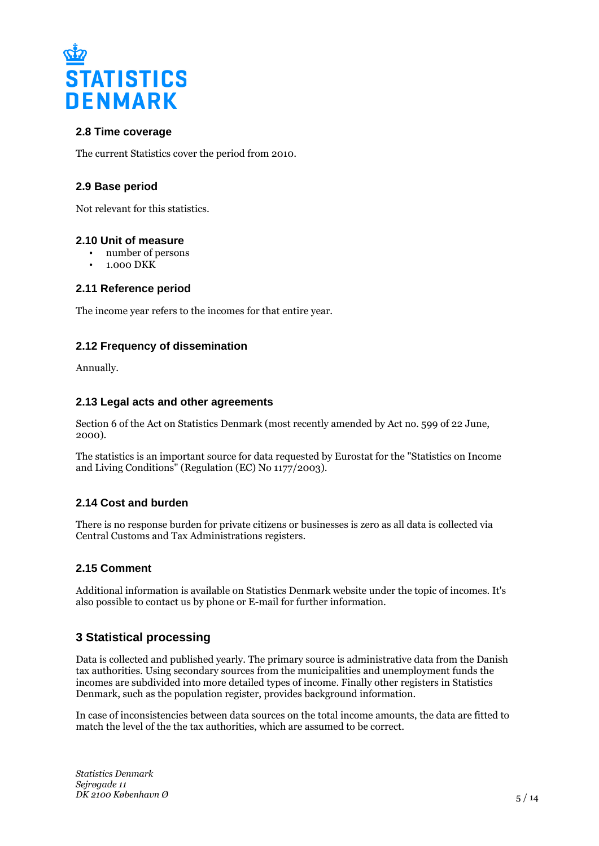

## **2.8 Time coverage**

The current Statistics cover the period from 2010.

## **2.9 Base period**

Not relevant for this statistics.

#### **2.10 Unit of measure**

- number of persons
- 1.000 DKK

## **2.11 Reference period**

The income year refers to the incomes for that entire year.

## **2.12 Frequency of dissemination**

Annually.

## **2.13 Legal acts and other agreements**

Section 6 of the Act on Statistics Denmark (most recently amended by Act no. 599 of 22 June, 2000).

The statistics is an important source for data requested by Eurostat for the "Statistics on Income and Living Conditions" (Regulation (EC) No 1177/2003).

## **2.14 Cost and burden**

There is no response burden for private citizens or businesses is zero as all data is collected via Central Customs and Tax Administrations registers.

## **2.15 Comment**

Additional information is available on Statistics Denmark website under the topic of incomes. It's also possible to contact us by phone or E-mail for further information.

# **3 Statistical processing**

Data is collected and published yearly. The primary source is administrative data from the Danish tax authorities. Using secondary sources from the municipalities and unemployment funds the incomes are subdivided into more detailed types of income. Finally other registers in Statistics Denmark, such as the population register, provides background information.

In case of inconsistencies between data sources on the total income amounts, the data are fitted to match the level of the the tax authorities, which are assumed to be correct.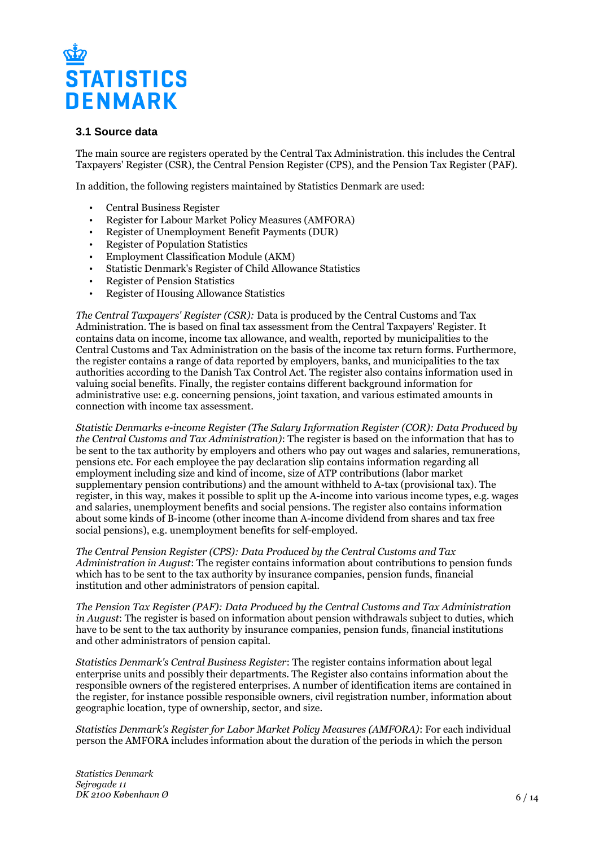# **STATISTICS DENMARK**

## **3.1 Source data**

The main source are registers operated by the Central Tax Administration. this includes the Central Taxpayers' Register (CSR), the Central Pension Register (CPS), and the Pension Tax Register (PAF).

In addition, the following registers maintained by Statistics Denmark are used:

- Central Business Register
- Register for Labour Market Policy Measures (AMFORA)
- Register of Unemployment Benefit Payments (DUR)
- Register of Population Statistics
- Employment Classification Module (AKM)
- Statistic Denmark's Register of Child Allowance Statistics
- Register of Pension Statistics
- Register of Housing Allowance Statistics

*The Central Taxpayers' Register (CSR):* Data is produced by the Central Customs and Tax Administration. The is based on final tax assessment from the Central Taxpayers' Register. It contains data on income, income tax allowance, and wealth, reported by municipalities to the Central Customs and Tax Administration on the basis of the income tax return forms. Furthermore, the register contains a range of data reported by employers, banks, and municipalities to the tax authorities according to the Danish Tax Control Act. The register also contains information used in valuing social benefits. Finally, the register contains different background information for administrative use: e.g. concerning pensions, joint taxation, and various estimated amounts in connection with income tax assessment.

*Statistic Denmarks e-income Register (The Salary Information Register (COR): Data Produced by the Central Customs and Tax Administration)*: The register is based on the information that has to be sent to the tax authority by employers and others who pay out wages and salaries, remunerations, pensions etc. For each employee the pay declaration slip contains information regarding all employment including size and kind of income, size of ATP contributions (labor market supplementary pension contributions) and the amount withheld to A-tax (provisional tax). The register, in this way, makes it possible to split up the A-income into various income types, e.g. wages and salaries, unemployment benefits and social pensions. The register also contains information about some kinds of B-income (other income than A-income dividend from shares and tax free social pensions), e.g. unemployment benefits for self-employed.

*The Central Pension Register (CPS): Data Produced by the Central Customs and Tax Administration in August*: The register contains information about contributions to pension funds which has to be sent to the tax authority by insurance companies, pension funds, financial institution and other administrators of pension capital.

*The Pension Tax Register (PAF): Data Produced by the Central Customs and Tax Administration in August*: The register is based on information about pension withdrawals subject to duties, which have to be sent to the tax authority by insurance companies, pension funds, financial institutions and other administrators of pension capital.

*Statistics Denmark's Central Business Register*: The register contains information about legal enterprise units and possibly their departments. The Register also contains information about the responsible owners of the registered enterprises. A number of identification items are contained in the register, for instance possible responsible owners, civil registration number, information about geographic location, type of ownership, sector, and size.

*Statistics Denmark's Register for Labor Market Policy Measures (AMFORA)*: For each individual person the AMFORA includes information about the duration of the periods in which the person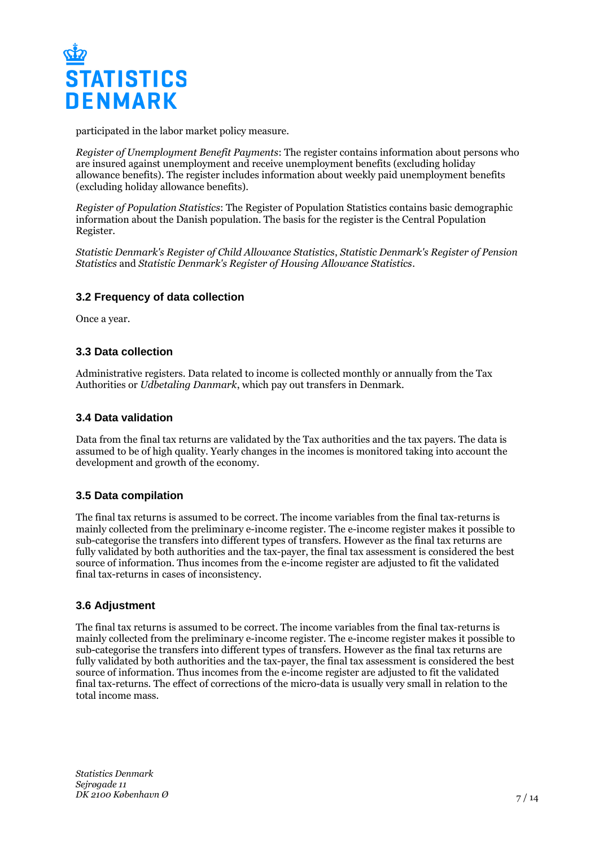

participated in the labor market policy measure.

*Register of Unemployment Benefit Payments*: The register contains information about persons who are insured against unemployment and receive unemployment benefits (excluding holiday allowance benefits). The register includes information about weekly paid unemployment benefits (excluding holiday allowance benefits).

*Register of Population Statistics*: The Register of Population Statistics contains basic demographic information about the Danish population. The basis for the register is the Central Population Register.

*Statistic Denmark's Register of Child Allowance Statistics*, *Statistic Denmark's Register of Pension Statistics* and *Statistic Denmark's Register of Housing Allowance Statistics*.

#### **3.2 Frequency of data collection**

Once a year.

#### **3.3 Data collection**

Administrative registers. Data related to income is collected monthly or annually from the Tax Authorities or *Udbetaling Danmark*, which pay out transfers in Denmark.

#### **3.4 Data validation**

Data from the final tax returns are validated by the Tax authorities and the tax payers. The data is assumed to be of high quality. Yearly changes in the incomes is monitored taking into account the development and growth of the economy.

#### **3.5 Data compilation**

The final tax returns is assumed to be correct. The income variables from the final tax-returns is mainly collected from the preliminary e-income register. The e-income register makes it possible to sub-categorise the transfers into different types of transfers. However as the final tax returns are fully validated by both authorities and the tax-payer, the final tax assessment is considered the best source of information. Thus incomes from the e-income register are adjusted to fit the validated final tax-returns in cases of inconsistency.

#### **3.6 Adjustment**

The final tax returns is assumed to be correct. The income variables from the final tax-returns is mainly collected from the preliminary e-income register. The e-income register makes it possible to sub-categorise the transfers into different types of transfers. However as the final tax returns are fully validated by both authorities and the tax-payer, the final tax assessment is considered the best source of information. Thus incomes from the e-income register are adjusted to fit the validated final tax-returns. The effect of corrections of the micro-data is usually very small in relation to the total income mass.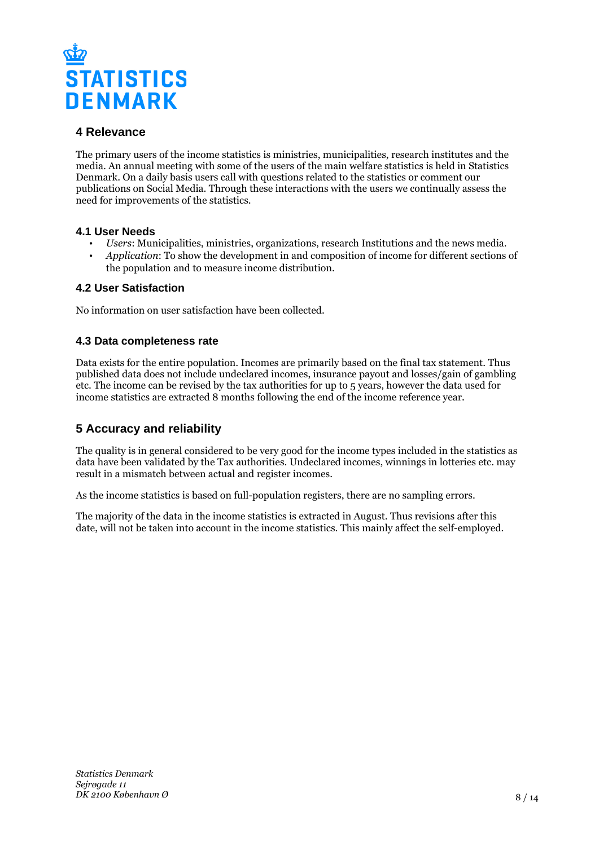

# **4 Relevance**

The primary users of the income statistics is ministries, municipalities, research institutes and the media. An annual meeting with some of the users of the main welfare statistics is held in Statistics Denmark. On a daily basis users call with questions related to the statistics or comment our publications on Social Media. Through these interactions with the users we continually assess the need for improvements of the statistics.

#### **4.1 User Needs**

- *Users*: Municipalities, ministries, organizations, research Institutions and the news media.
- *Application*: To show the development in and composition of income for different sections of the population and to measure income distribution.

#### **4.2 User Satisfaction**

No information on user satisfaction have been collected.

## **4.3 Data completeness rate**

Data exists for the entire population. Incomes are primarily based on the final tax statement. Thus published data does not include undeclared incomes, insurance payout and losses/gain of gambling etc. The income can be revised by the tax authorities for up to 5 years, however the data used for income statistics are extracted 8 months following the end of the income reference year.

# **5 Accuracy and reliability**

The quality is in general considered to be very good for the income types included in the statistics as data have been validated by the Tax authorities. Undeclared incomes, winnings in lotteries etc. may result in a mismatch between actual and register incomes.

As the income statistics is based on full-population registers, there are no sampling errors.

The majority of the data in the income statistics is extracted in August. Thus revisions after this date, will not be taken into account in the income statistics. This mainly affect the self-employed.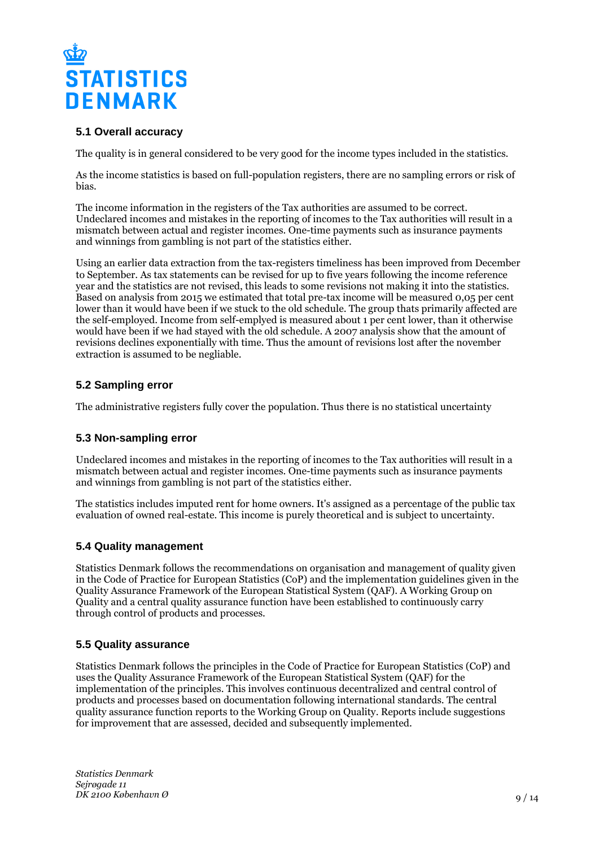

## **5.1 Overall accuracy**

The quality is in general considered to be very good for the income types included in the statistics.

As the income statistics is based on full-population registers, there are no sampling errors or risk of bias.

The income information in the registers of the Tax authorities are assumed to be correct. Undeclared incomes and mistakes in the reporting of incomes to the Tax authorities will result in a mismatch between actual and register incomes. One-time payments such as insurance payments and winnings from gambling is not part of the statistics either.

Using an earlier data extraction from the tax-registers timeliness has been improved from December to September. As tax statements can be revised for up to five years following the income reference year and the statistics are not revised, this leads to some revisions not making it into the statistics. Based on analysis from 2015 we estimated that total pre-tax income will be measured 0,05 per cent lower than it would have been if we stuck to the old schedule. The group thats primarily affected are the self-employed. Income from self-emplyed is measured about 1 per cent lower, than it otherwise would have been if we had stayed with the old schedule. A 2007 analysis show that the amount of revisions declines exponentially with time. Thus the amount of revisions lost after the november extraction is assumed to be negliable.

## **5.2 Sampling error**

The administrative registers fully cover the population. Thus there is no statistical uncertainty

## **5.3 Non-sampling error**

Undeclared incomes and mistakes in the reporting of incomes to the Tax authorities will result in a mismatch between actual and register incomes. One-time payments such as insurance payments and winnings from gambling is not part of the statistics either.

The statistics includes imputed rent for home owners. It's assigned as a percentage of the public tax evaluation of owned real-estate. This income is purely theoretical and is subject to uncertainty.

## **5.4 Quality management**

Statistics Denmark follows the recommendations on organisation and management of quality given in the Code of Practice for European Statistics (CoP) and the implementation guidelines given in the Quality Assurance Framework of the European Statistical System (QAF). A Working Group on Quality and a central quality assurance function have been established to continuously carry through control of products and processes.

#### **5.5 Quality assurance**

Statistics Denmark follows the principles in the Code of Practice for European Statistics (CoP) and uses the Quality Assurance Framework of the European Statistical System (QAF) for the implementation of the principles. This involves continuous decentralized and central control of products and processes based on documentation following international standards. The central quality assurance function reports to the Working Group on Quality. Reports include suggestions for improvement that are assessed, decided and subsequently implemented.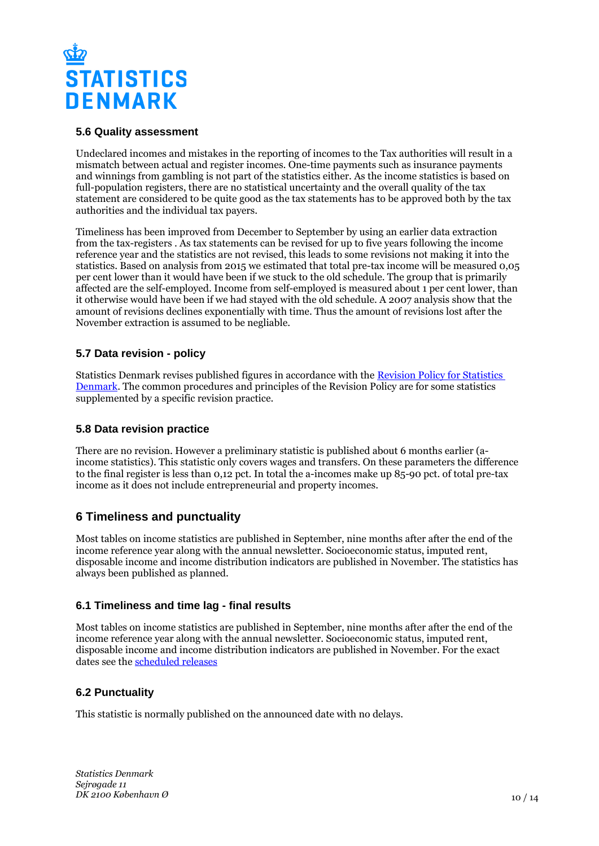

#### **5.6 Quality assessment**

Undeclared incomes and mistakes in the reporting of incomes to the Tax authorities will result in a mismatch between actual and register incomes. One-time payments such as insurance payments and winnings from gambling is not part of the statistics either. As the income statistics is based on full-population registers, there are no statistical uncertainty and the overall quality of the tax statement are considered to be quite good as the tax statements has to be approved both by the tax authorities and the individual tax payers.

Timeliness has been improved from December to September by using an earlier data extraction from the tax-registers . As tax statements can be revised for up to five years following the income reference year and the statistics are not revised, this leads to some revisions not making it into the statistics. Based on analysis from 2015 we estimated that total pre-tax income will be measured 0,05 per cent lower than it would have been if we stuck to the old schedule. The group that is primarily affected are the self-employed. Income from self-employed is measured about 1 per cent lower, than it otherwise would have been if we had stayed with the old schedule. A 2007 analysis show that the amount of revisions declines exponentially with time. Thus the amount of revisions lost after the November extraction is assumed to be negliable.

#### **5.7 Data revision - policy**

Statistics Denmark revises published figures in accordance with the [Revision Policy for Statistics](https://www.dst.dk/en/OmDS/strategi-og-kvalitet/revisionspolitik.aspx)  [Denmark.](https://www.dst.dk/en/OmDS/strategi-og-kvalitet/revisionspolitik.aspx) The common procedures and principles of the Revision Policy are for some statistics supplemented by a specific revision practice.

#### **5.8 Data revision practice**

There are no revision. However a preliminary statistic is published about 6 months earlier (aincome statistics). This statistic only covers wages and transfers. On these parameters the difference to the final register is less than 0,12 pct. In total the a-incomes make up 85-90 pct. of total pre-tax income as it does not include entrepreneurial and property incomes.

# **6 Timeliness and punctuality**

Most tables on income statistics are published in September, nine months after after the end of the income reference year along with the annual newsletter. Socioeconomic status, imputed rent, disposable income and income distribution indicators are published in November. The statistics has always been published as planned.

## **6.1 Timeliness and time lag - final results**

Most tables on income statistics are published in September, nine months after after the end of the income reference year along with the annual newsletter. Socioeconomic status, imputed rent, disposable income and income distribution indicators are published in November. For the exact dates see the [scheduled releases](https://www.dst.dk/en/Statistik/planlagte?type=1)

## **6.2 Punctuality**

This statistic is normally published on the announced date with no delays.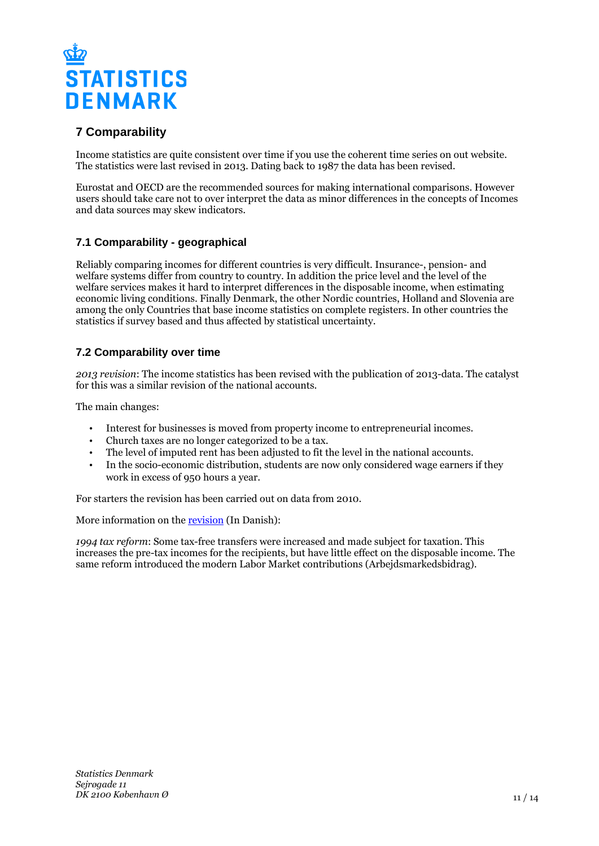

# **7 Comparability**

Income statistics are quite consistent over time if you use the coherent time series on out website. The statistics were last revised in 2013. Dating back to 1987 the data has been revised.

Eurostat and OECD are the recommended sources for making international comparisons. However users should take care not to over interpret the data as minor differences in the concepts of Incomes and data sources may skew indicators.

# **7.1 Comparability - geographical**

Reliably comparing incomes for different countries is very difficult. Insurance-, pension- and welfare systems differ from country to country. In addition the price level and the level of the welfare services makes it hard to interpret differences in the disposable income, when estimating economic living conditions. Finally Denmark, the other Nordic countries, Holland and Slovenia are among the only Countries that base income statistics on complete registers. In other countries the statistics if survey based and thus affected by statistical uncertainty.

## **7.2 Comparability over time**

*2013 revision*: The income statistics has been revised with the publication of 2013-data. The catalyst for this was a similar revision of the national accounts.

The main changes:

- Interest for businesses is moved from property income to entrepreneurial incomes.
- Church taxes are no longer categorized to be a tax.
- The level of imputed rent has been adjusted to fit the level in the national accounts.
- In the socio-economic distribution, students are now only considered wage earners if they work in excess of 950 hours a year.

For starters the revision has been carried out on data from 2010.

More information on the [revision](https://www.dst.dk/ext/arbejde-loen-og-indkomst/rev13) (In Danish):

*1994 tax reform*: Some tax-free transfers were increased and made subject for taxation. This increases the pre-tax incomes for the recipients, but have little effect on the disposable income. The same reform introduced the modern Labor Market contributions (Arbejdsmarkedsbidrag).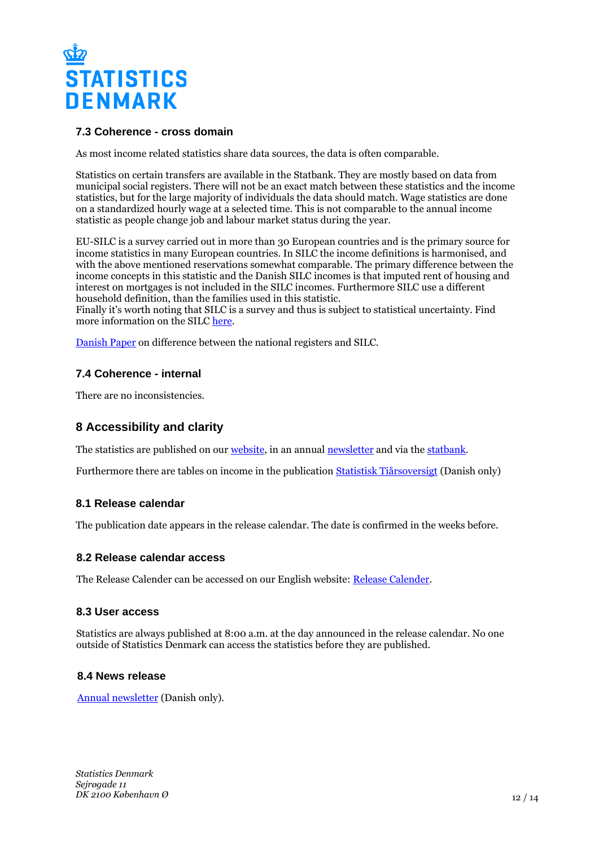

## **7.3 Coherence - cross domain**

As most income related statistics share data sources, the data is often comparable.

Statistics on certain transfers are available in the Statbank. They are mostly based on data from municipal social registers. There will not be an exact match between these statistics and the income statistics, but for the large majority of individuals the data should match. Wage statistics are done on a standardized hourly wage at a selected time. This is not comparable to the annual income statistic as people change job and labour market status during the year.

EU-SILC is a survey carried out in more than 30 European countries and is the primary source for income statistics in many European countries. In SILC the income definitions is harmonised, and with the above mentioned reservations somewhat comparable. The primary difference between the income concepts in this statistic and the Danish SILC incomes is that imputed rent of housing and interest on mortgages is not included in the SILC incomes. Furthermore SILC use a different household definition, than the families used in this statistic.

Finally it's worth noting that SILC is a survey and thus is subject to statistical uncertainty. Find more information on the SILC [here.](http://epp.eurostat.ec.europa.eu/portal/page/portal/microdata/eu_silc)

[Danish Paper](https://www.dst.dk/ext/arbejde-loen-og-indkomst/Eurostatulighed) on difference between the national registers and SILC.

## **7.4 Coherence - internal**

There are no inconsistencies.

# **8 Accessibility and clarity**

The statistics are published on our [website,](https://www.dst.dk/en/Statistik/emner/arbejde-indkomst-og-formue/indkomster) in an annual [newsletter](https://www.dst.dk/nytserie/1179) and via the [statbank.](http://www.statbank.dk/2435)

Furthermore there are tables on income in the publication [Statistisk Tiårsoversigt](https://www.dst.dk/da/Statistik/Publikationer/VisPub.aspx?cid=18557) (Danish only)

#### **8.1 Release calendar**

The publication date appears in the release calendar. The date is confirmed in the weeks before.

#### **8.2 Release calendar access**

The Release Calender can be accessed on our English website: [Release Calender.](https://www.dst.dk/en/Statistik/offentliggoerelser.aspx)

#### **8.3 User access**

Statistics are always published at 8:00 a.m. at the day announced in the release calendar. No one outside of Statistics Denmark can access the statistics before they are published.

#### **8.4 News release**

[Annual newsletter](https://www.dst.dk/nytserie/1179) (Danish only).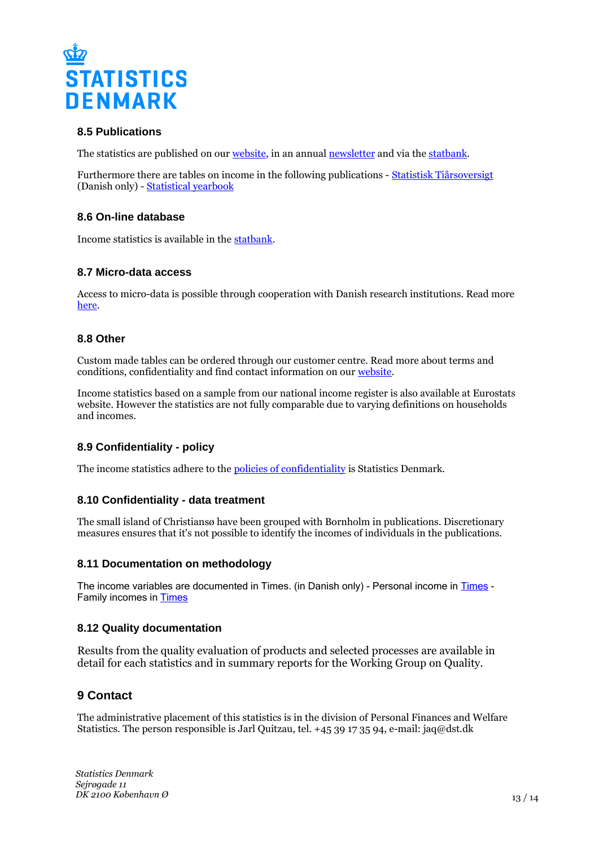

## **8.5 Publications**

The statistics are published on our [website](https://www.dst.dk/en/Statistik/emner/arbejde-indkomst-og-formue/indkomster), in an annual [newsletter](https://www.dst.dk/nytserie/1179) and via the [statbank](http://www.statbank.dk/2435).

Furthermore there are tables on income in the following publications - [Statistisk Tiårsoversigt](https://www.dst.dk/da/Statistik/Publikationer/VisPub.aspx?cid=18557) (Danish only) - [Statistical yearbook](https://www.dst.dk/en/Statistik/Publikationer/VisPub.aspx?cid=17959)

#### **8.6 On-line database**

Income statistics is available in the [statbank.](http://www.statbank.dk/2435)

#### **8.7 Micro-data access**

Access to micro-data is possible through cooperation with Danish research institutions. Read more [here](https://www.dst.dk/en/TilSalg/Forskningsservice.aspx).

#### **8.8 Other**

Custom made tables can be ordered through our customer centre. Read more about terms and conditions, confidentiality and find contact information on our [website](https://www.dst.dk/en/TilSalg/skraeddersyede-loesninger.aspx).

Income statistics based on a sample from our national income register is also available at Eurostats website. However the statistics are not fully comparable due to varying definitions on households and incomes.

## **8.9 Confidentiality - policy**

The income statistics adhere to the [policies of confidentiality](https://www.dst.dk/da/TilSalg/Forskningsservice/Dataadgang.aspx) is Statistics Denmark.

## **8.10 Confidentiality - data treatment**

The small island of Christiansø have been grouped with Bornholm in publications. Discretionary measures ensures that it's not possible to identify the incomes of individuals in the publications.

#### **8.11 Documentation on methodology**

The income variables are documented in [Times](https://www.dst.dk/da/Statistik/dokumentation/Times/personindkomst.aspx). (in Danish only) - Personal income in Times -Family incomes in [Times](https://www.dst.dk/da/Statistik/dokumentation/Times/familieindkomst.aspx)

## **8.12 Quality documentation**

Results from the quality evaluation of products and selected processes are available in detail for each statistics and in summary reports for the Working Group on Quality.

# **9 Contact**

The administrative placement of this statistics is in the division of Personal Finances and Welfare Statistics. The person responsible is Jarl Quitzau, tel. +45 39 17 35 94, e-mail: jaq@dst.dk